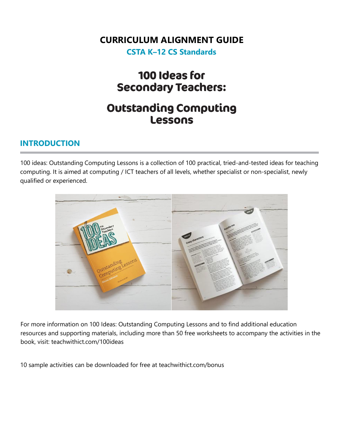#### **CURRICULUM ALIGNMENT GUIDE**

**CSTA K–12 CS Standards**

## 100 Ideas for **Secondary Teachers:**

## **Outstanding Computing** Lessons

#### **INTRODUCTION**

100 ideas: Outstanding Computing Lessons is a collection of 100 practical, tried-and-tested ideas for teaching computing. It is aimed at computing / ICT teachers of all levels, whether specialist or non-specialist, newly qualified or experienced.



For more information on 100 Ideas: Outstanding Computing Lessons and to find additional education resources and supporting materials, including more than 50 free worksheets to accompany the activities in the book, visit: teachwithict.com/100ideas

10 sample activities can be downloaded for free at teachwithict.com/bonus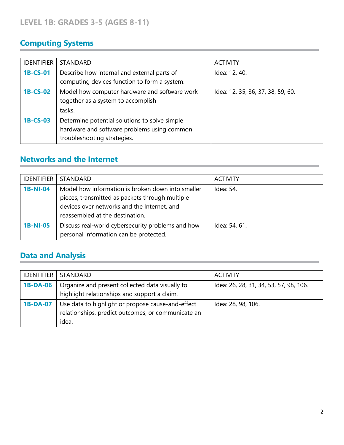## **Computing Systems**

| <b>IDENTIFIER</b> | <b>STANDARD</b>                                                                                                             | <b>ACTIVITY</b>                   |
|-------------------|-----------------------------------------------------------------------------------------------------------------------------|-----------------------------------|
| 1B-CS-01          | Describe how internal and external parts of<br>computing devices function to form a system.                                 | Idea: 12, 40.                     |
| 1B-CS-02          | Model how computer hardware and software work<br>together as a system to accomplish<br>tasks.                               | Idea: 12, 35, 36, 37, 38, 59, 60. |
| 1B-CS-03          | Determine potential solutions to solve simple<br>hardware and software problems using common<br>troubleshooting strategies. |                                   |

#### **Networks and the Internet**

| <b>IDENTIFIER</b> | <b>STANDARD</b>                                                                                                                                                                        | <b>ACTIVITY</b> |
|-------------------|----------------------------------------------------------------------------------------------------------------------------------------------------------------------------------------|-----------------|
| <b>1B-NI-04</b>   | Model how information is broken down into smaller<br>pieces, transmitted as packets through multiple<br>devices over networks and the Internet, and<br>reassembled at the destination. | Idea: 54.       |
| <b>1B-NI-05</b>   | Discuss real-world cybersecurity problems and how<br>personal information can be protected.                                                                                            | Idea: 54, 61.   |

# **Data and Analysis**

| <b>IDENTIFIER</b> | <b>STANDARD</b>                                                                                                  | <b>ACTIVITY</b>                        |
|-------------------|------------------------------------------------------------------------------------------------------------------|----------------------------------------|
| <b>1B-DA-06</b>   | Organize and present collected data visually to<br>highlight relationships and support a claim.                  | Idea: 26, 28, 31, 34, 53, 57, 98, 106. |
| <b>1B-DA-07</b>   | Use data to highlight or propose cause-and-effect<br>relationships, predict outcomes, or communicate an<br>idea. | Idea: 28, 98, 106.                     |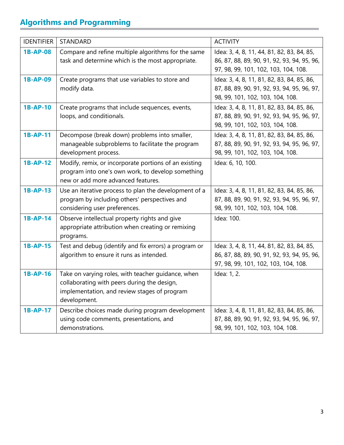## **Algorithms and Programming**

| <b>IDENTIFIER</b> | STANDARD                                                                                                                                                          | <b>ACTIVITY</b>                                                                                                                   |
|-------------------|-------------------------------------------------------------------------------------------------------------------------------------------------------------------|-----------------------------------------------------------------------------------------------------------------------------------|
| <b>1B-AP-08</b>   | Compare and refine multiple algorithms for the same<br>task and determine which is the most appropriate.                                                          | Idea: 3, 4, 8, 11, 44, 81, 82, 83, 84, 85,<br>86, 87, 88, 89, 90, 91, 92, 93, 94, 95, 96,<br>97, 98, 99, 101, 102, 103, 104, 108. |
| <b>1B-AP-09</b>   | Create programs that use variables to store and<br>modify data.                                                                                                   | Idea: 3, 4, 8, 11, 81, 82, 83, 84, 85, 86,<br>87, 88, 89, 90, 91, 92, 93, 94, 95, 96, 97,<br>98, 99, 101, 102, 103, 104, 108.     |
| 1B-AP-10          | Create programs that include sequences, events,<br>loops, and conditionals.                                                                                       | Idea: 3, 4, 8, 11, 81, 82, 83, 84, 85, 86,<br>87, 88, 89, 90, 91, 92, 93, 94, 95, 96, 97,<br>98, 99, 101, 102, 103, 104, 108.     |
| 1B-AP-11          | Decompose (break down) problems into smaller,<br>manageable subproblems to facilitate the program<br>development process.                                         | Idea: 3, 4, 8, 11, 81, 82, 83, 84, 85, 86,<br>87, 88, 89, 90, 91, 92, 93, 94, 95, 96, 97,<br>98, 99, 101, 102, 103, 104, 108.     |
| <b>1B-AP-12</b>   | Modify, remix, or incorporate portions of an existing<br>program into one's own work, to develop something<br>new or add more advanced features.                  | Idea: 6, 10, 100.                                                                                                                 |
| <b>1B-AP-13</b>   | Use an iterative process to plan the development of a<br>program by including others' perspectives and<br>considering user preferences.                           | Idea: 3, 4, 8, 11, 81, 82, 83, 84, 85, 86,<br>87, 88, 89, 90, 91, 92, 93, 94, 95, 96, 97,<br>98, 99, 101, 102, 103, 104, 108.     |
| 1B-AP-14          | Observe intellectual property rights and give<br>appropriate attribution when creating or remixing<br>programs.                                                   | Idea: 100.                                                                                                                        |
| <b>1B-AP-15</b>   | Test and debug (identify and fix errors) a program or<br>algorithm to ensure it runs as intended.                                                                 | Idea: 3, 4, 8, 11, 44, 81, 82, 83, 84, 85,<br>86, 87, 88, 89, 90, 91, 92, 93, 94, 95, 96,<br>97, 98, 99, 101, 102, 103, 104, 108. |
| <b>1B-AP-16</b>   | Take on varying roles, with teacher guidance, when<br>collaborating with peers during the design,<br>implementation, and review stages of program<br>development. | Idea: 1, 2.                                                                                                                       |
| 1B-AP-17          | Describe choices made during program development<br>using code comments, presentations, and<br>demonstrations.                                                    | Idea: 3, 4, 8, 11, 81, 82, 83, 84, 85, 86,<br>87, 88, 89, 90, 91, 92, 93, 94, 95, 96, 97,<br>98, 99, 101, 102, 103, 104, 108.     |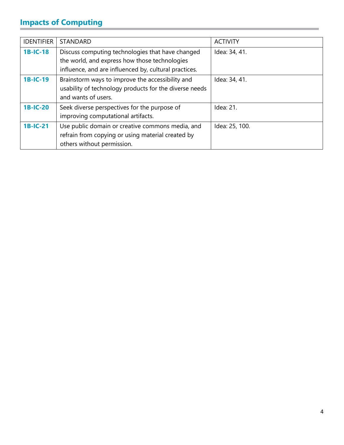## **Impacts of Computing**

| <b>IDENTIFIER</b> | <b>STANDARD</b>                                                                                                                                            | <b>ACTIVITY</b> |
|-------------------|------------------------------------------------------------------------------------------------------------------------------------------------------------|-----------------|
| <b>1B-IC-18</b>   | Discuss computing technologies that have changed<br>the world, and express how those technologies<br>influence, and are influenced by, cultural practices. | Idea: 34, 41.   |
| <b>1B-IC-19</b>   | Brainstorm ways to improve the accessibility and<br>usability of technology products for the diverse needs<br>and wants of users.                          | Idea: 34, 41.   |
| <b>1B-IC-20</b>   | Seek diverse perspectives for the purpose of<br>improving computational artifacts.                                                                         | Idea: 21.       |
| 1B-IC-21          | Use public domain or creative commons media, and<br>refrain from copying or using material created by<br>others without permission.                        | Idea: 25, 100.  |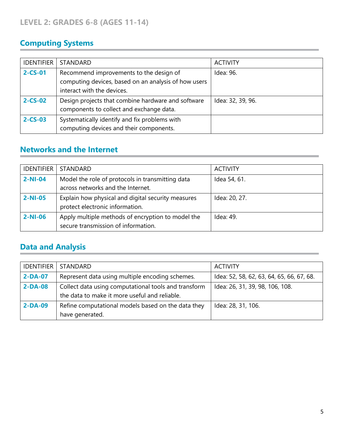### **Computing Systems**

| <b>IDENTIFIER</b> | <b>STANDARD</b>                                                                                                               | <b>ACTIVITY</b>   |
|-------------------|-------------------------------------------------------------------------------------------------------------------------------|-------------------|
| $2 - CS - 01$     | Recommend improvements to the design of<br>computing devices, based on an analysis of how users<br>interact with the devices. | Idea: 96.         |
| $2 - CS - 02$     | Design projects that combine hardware and software<br>components to collect and exchange data.                                | Idea: 32, 39, 96. |
| $2 - CS - 03$     | Systematically identify and fix problems with<br>computing devices and their components.                                      |                   |

#### **Networks and the Internet**

| <b>IDENTIFIER</b> | <b>STANDARD</b>                                                                          | <b>ACTIVITY</b> |
|-------------------|------------------------------------------------------------------------------------------|-----------------|
| $2-NI-04$         | Model the role of protocols in transmitting data<br>across networks and the Internet.    | Idea 54, 61.    |
| $2-NI-05$         | Explain how physical and digital security measures<br>protect electronic information.    | Idea: 20, 27.   |
| $2-NI-06$         | Apply multiple methods of encryption to model the<br>secure transmission of information. | Idea: 49.       |

#### **Data and Analysis**

| <b>IDENTIFIER</b> | <b>STANDARD</b>                                                                                       | <b>ACTIVITY</b>                           |
|-------------------|-------------------------------------------------------------------------------------------------------|-------------------------------------------|
| $2-DA-07$         | Represent data using multiple encoding schemes.                                                       | Idea: 52, 58, 62, 63, 64, 65, 66, 67, 68. |
| $2-DA-08$         | Collect data using computational tools and transform<br>the data to make it more useful and reliable. | Idea: 26, 31, 39, 98, 106, 108.           |
| $2-DA-09$         | Refine computational models based on the data they<br>have generated.                                 | Idea: 28, 31, 106.                        |

\_\_\_\_\_\_\_\_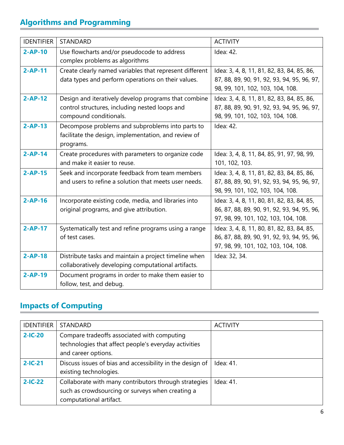## **Algorithms and Programming**

| <b>IDENTIFIER</b> | <b>STANDARD</b>                                                                                                                  | <b>ACTIVITY</b>                                                                                                                   |
|-------------------|----------------------------------------------------------------------------------------------------------------------------------|-----------------------------------------------------------------------------------------------------------------------------------|
| $2-AP-10$         | Use flowcharts and/or pseudocode to address<br>complex problems as algorithms                                                    | Idea: 42.                                                                                                                         |
| $2-AP-11$         | Create clearly named variables that represent different<br>data types and perform operations on their values.                    | Idea: 3, 4, 8, 11, 81, 82, 83, 84, 85, 86,<br>87, 88, 89, 90, 91, 92, 93, 94, 95, 96, 97,<br>98, 99, 101, 102, 103, 104, 108.     |
| $2-AP-12$         | Design and iteratively develop programs that combine<br>control structures, including nested loops and<br>compound conditionals. | Idea: 3, 4, 8, 11, 81, 82, 83, 84, 85, 86,<br>87, 88, 89, 90, 91, 92, 93, 94, 95, 96, 97,<br>98, 99, 101, 102, 103, 104, 108.     |
| $2-AP-13$         | Decompose problems and subproblems into parts to<br>facilitate the design, implementation, and review of<br>programs.            | Idea: 42.                                                                                                                         |
| $2-AP-14$         | Create procedures with parameters to organize code<br>and make it easier to reuse.                                               | Idea: 3, 4, 8, 11, 84, 85, 91, 97, 98, 99,<br>101, 102, 103.                                                                      |
| $2-AP-15$         | Seek and incorporate feedback from team members<br>and users to refine a solution that meets user needs.                         | Idea: 3, 4, 8, 11, 81, 82, 83, 84, 85, 86,<br>87, 88, 89, 90, 91, 92, 93, 94, 95, 96, 97,<br>98, 99, 101, 102, 103, 104, 108.     |
| $2-AP-16$         | Incorporate existing code, media, and libraries into<br>original programs, and give attribution.                                 | Idea: 3, 4, 8, 11, 80, 81, 82, 83, 84, 85,<br>86, 87, 88, 89, 90, 91, 92, 93, 94, 95, 96,<br>97, 98, 99, 101, 102, 103, 104, 108. |
| $2-AP-17$         | Systematically test and refine programs using a range<br>of test cases.                                                          | Idea: 3, 4, 8, 11, 80, 81, 82, 83, 84, 85,<br>86, 87, 88, 89, 90, 91, 92, 93, 94, 95, 96,<br>97, 98, 99, 101, 102, 103, 104, 108. |
| $2-AP-18$         | Distribute tasks and maintain a project timeline when<br>collaboratively developing computational artifacts.                     | Idea: 32, 34.                                                                                                                     |
| $2-AP-19$         | Document programs in order to make them easier to<br>follow, test, and debug.                                                    |                                                                                                                                   |

## **Impacts of Computing**

| <b>IDENTIFIER</b> | <b>STANDARD</b>                                                                                                                      | <b>ACTIVITY</b> |
|-------------------|--------------------------------------------------------------------------------------------------------------------------------------|-----------------|
| $2-IC-20$         | Compare tradeoffs associated with computing<br>technologies that affect people's everyday activities<br>and career options.          |                 |
| $2-IC-21$         | Discuss issues of bias and accessibility in the design of<br>existing technologies.                                                  | Idea: 41.       |
| $2-IC-22$         | Collaborate with many contributors through strategies<br>such as crowdsourcing or surveys when creating a<br>computational artifact. | Idea: 41.       |

\_\_\_\_\_\_\_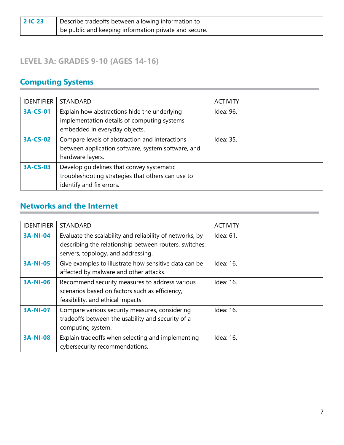| $2-IC-23$ | Describe tradeoffs between allowing information to    |
|-----------|-------------------------------------------------------|
|           | be public and keeping information private and secure. |

#### **LEVEL 3A: GRADES 9-10 (AGES 14-16)**

## **Computing Systems**

| <b>IDENTIFIER</b> | <b>STANDARD</b>                                                                                                              | <b>ACTIVITY</b> |
|-------------------|------------------------------------------------------------------------------------------------------------------------------|-----------------|
| <b>3A-CS-01</b>   | Explain how abstractions hide the underlying<br>implementation details of computing systems<br>embedded in everyday objects. | Idea: 96.       |
| <b>3A-CS-02</b>   | Compare levels of abstraction and interactions<br>between application software, system software, and<br>hardware layers.     | Idea: 35.       |
| <b>3A-CS-03</b>   | Develop quidelines that convey systematic<br>troubleshooting strategies that others can use to<br>identify and fix errors.   |                 |

#### **Networks and the Internet**

| <b>IDENTIFIER</b> | <b>STANDARD</b>                                                                                                                                          | <b>ACTIVITY</b> |
|-------------------|----------------------------------------------------------------------------------------------------------------------------------------------------------|-----------------|
| <b>3A-NI-04</b>   | Evaluate the scalability and reliability of networks, by<br>describing the relationship between routers, switches,<br>servers, topology, and addressing. | Idea: 61.       |
| <b>3A-NI-05</b>   | Give examples to illustrate how sensitive data can be<br>affected by malware and other attacks.                                                          | Idea: 16.       |
| <b>3A-NI-06</b>   | Recommend security measures to address various<br>scenarios based on factors such as efficiency,<br>feasibility, and ethical impacts.                    | Idea: 16.       |
| <b>3A-NI-07</b>   | Compare various security measures, considering<br>tradeoffs between the usability and security of a<br>computing system.                                 | Idea: 16.       |
| <b>3A-NI-08</b>   | Explain tradeoffs when selecting and implementing<br>cybersecurity recommendations.                                                                      | Idea: 16.       |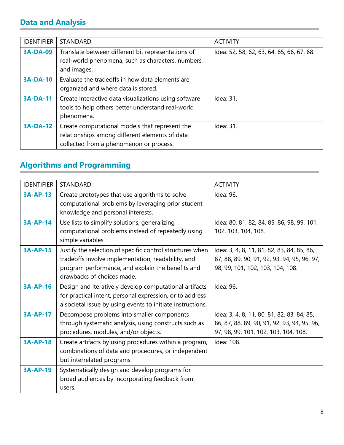### **Data and Analysis**

| <b>IDENTIFIER</b> | <b>STANDARD</b>                                                                                                                             | <b>ACTIVITY</b>                           |
|-------------------|---------------------------------------------------------------------------------------------------------------------------------------------|-------------------------------------------|
| <b>3A-DA-09</b>   | Translate between different bit representations of<br>real-world phenomena, such as characters, numbers,<br>and images.                     | Idea: 52, 58, 62, 63, 64, 65, 66, 67, 68. |
| <b>3A-DA-10</b>   | Evaluate the tradeoffs in how data elements are<br>organized and where data is stored.                                                      |                                           |
| <b>3A-DA-11</b>   | Create interactive data visualizations using software<br>tools to help others better understand real-world<br>phenomena.                    | Idea: 31.                                 |
| <b>3A-DA-12</b>   | Create computational models that represent the<br>relationships among different elements of data<br>collected from a phenomenon or process. | Idea: 31.                                 |

## **Algorithms and Programming**

| <b>IDENTIFIER</b> | <b>STANDARD</b>                                                                                                                                                                                    | <b>ACTIVITY</b>                                                                                                                   |
|-------------------|----------------------------------------------------------------------------------------------------------------------------------------------------------------------------------------------------|-----------------------------------------------------------------------------------------------------------------------------------|
| $3A-AP-13$        | Create prototypes that use algorithms to solve<br>computational problems by leveraging prior student<br>knowledge and personal interests.                                                          | Idea: 96.                                                                                                                         |
| <b>3A-AP-14</b>   | Use lists to simplify solutions, generalizing<br>computational problems instead of repeatedly using<br>simple variables.                                                                           | Idea: 80, 81, 82, 84, 85, 86, 98, 99, 101,<br>102, 103, 104, 108.                                                                 |
| <b>3A-AP-15</b>   | Justify the selection of specific control structures when<br>tradeoffs involve implementation, readability, and<br>program performance, and explain the benefits and<br>drawbacks of choices made. | Idea: 3, 4, 8, 11, 81, 82, 83, 84, 85, 86,<br>87, 88, 89, 90, 91, 92, 93, 94, 95, 96, 97,<br>98, 99, 101, 102, 103, 104, 108.     |
| <b>3A-AP-16</b>   | Design and iteratively develop computational artifacts<br>for practical intent, personal expression, or to address<br>a societal issue by using events to initiate instructions.                   | Idea: 96.                                                                                                                         |
| <b>3A-AP-17</b>   | Decompose problems into smaller components<br>through systematic analysis, using constructs such as<br>procedures, modules, and/or objects.                                                        | Idea: 3, 4, 8, 11, 80, 81, 82, 83, 84, 85,<br>86, 87, 88, 89, 90, 91, 92, 93, 94, 95, 96,<br>97, 98, 99, 101, 102, 103, 104, 108. |
| <b>3A-AP-18</b>   | Create artifacts by using procedures within a program,<br>combinations of data and procedures, or independent<br>but interrelated programs.                                                        | Idea: 108.                                                                                                                        |
| <b>3A-AP-19</b>   | Systematically design and develop programs for<br>broad audiences by incorporating feedback from<br>users.                                                                                         |                                                                                                                                   |